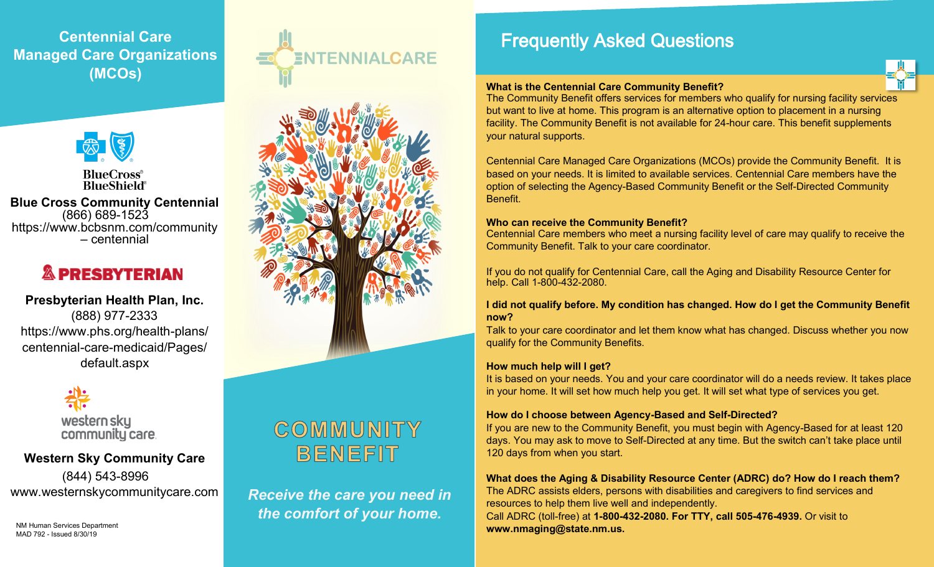## **Centennial Care Managed Care Organizations (MCOs)**



**BlueCross**® **BlueShield**®

**Blue Cross Community Centennial**  (866) 689-1523 https://www.bcbsnm.com/community – centennial

# **& PRESBYTERIAN**

## **Presbyterian Health Plan, Inc.** (888) 977-2333 [https://www.phs.org/health](https://www.phs.org/health-plans/centennial-care-medicaid/Pages/default.aspx)-plans/ centennial-care-[medicaid/Pages/](https://www.phs.org/health-plans/centennial-care-medicaid/Pages/default.aspx) [default.aspx](https://www.phs.org/health-plans/centennial-care-medicaid/Pages/default.aspx)

western sky community care.

## **Western Sky Community Care** (844) 543-8996 [www.westernskycommunitycare.com](http://www.westernskycommunitycare.com)

NM Human Services Department

MAD 792 - Issued 8/30/19





# COMMUNITY BENEFIT

*Receive the care you need in the comfort of your home.*

## Frequently Asked Questions

#### **What is the Centennial Care Community Benefit?**

The Community Benefit offers services for members who qualify for nursing facility services but want to live at home. This program is an alternative option to placement in a nursing facility. The Community Benefit is not available for 24-hour care. This benefit supplements your natural supports.

Centennial Care Managed Care Organizations (MCOs) provide the Community Benefit. It is based on your needs. It is limited to available services. Centennial Care members have the option of selecting the Agency-Based Community Benefit or the Self-Directed Community Benefit.

#### **Who can receive the Community Benefit?**

Centennial Care members who meet a nursing facility level of care may qualify to receive the Community Benefit. Talk to your care coordinator.

If you do not qualify for Centennial Care, call the Aging and Disability Resource Center for help. Call 1-800-432-2080.

#### **I did not qualify before. My condition has changed. How do I get the Community Benefit now?**

Talk to your care coordinator and let them know what has changed. Discuss whether you now qualify for the Community Benefits.

#### **How much help will I get?**

It is based on your needs. You and your care coordinator will do a needs review. It takes place in your home. It will set how much help you get. It will set what type of services you get.

#### **How do I choose between Agency-Based and Self-Directed?**

If you are new to the Community Benefit, you must begin with Agency-Based for at least 120 days. You may ask to move to Self-Directed at any time. But the switch can't take place until 120 days from when you start.

**What does the Aging & Disability Resource Center (ADRC) do? How do I reach them?** The ADRC assists elders, persons with disabilities and caregivers to find services and resources to help them live well and independently. Call ADRC (toll-free) at **1-800-432-2080. For TTY, call 505-476-4939.** Or visit to **www.nmaging@state.nm.us.**